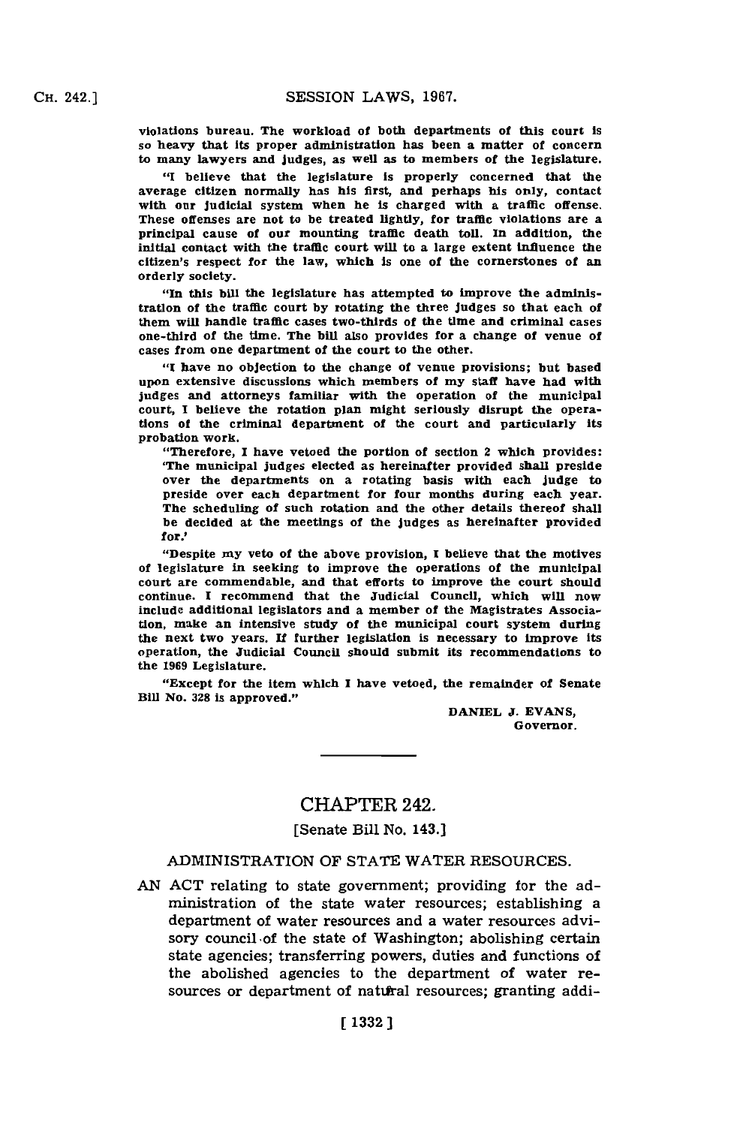violations bureau. The workload of both departments of this court is so heavy that its proper administration has been a matter of concern to many lawyers and judges, as well as to members of the legislature.

**"I** believe that the legislature is properly concerned that the average citizen normally has his first, and perhaps his only, contact with our judicial system when he is charged with a traffic offense. These offenses are not to be treated lightly, for traffic violations are a principal cause of our mounting traffic death toll. 1n addition, the initial contact with the traffic court will to a large extent influence the citizen's respect for the law, which is one of the cornerstones of an orderly society.

"fIn this bill the legislature has attempted to improve the administration of the traffic court **by** rotating the three judges so that each of them will handle traffic cases two-thirds of the time and criminal cases one-third of the time. The bill also provides for a change of venue of cases from one department of the court to the other.

**"I** have no objection to the change of venue provisions; but based upon extensive discussions which members of my staff have had with judges and attorneys familiar with the operation of the municipal court, **I** belleve the rotation plan might seriously disrupt the operations of the criminal department of the court and particularly its probation work.

"Therefore, **I** have vetoed the portion of section 2 which provides: 'The municipal judges elected as hereinafter provided shall preside over the departments on a rotating basis with each judge to preside over each department for four months during each year. The scheduling of such rotation and the other details thereof shall be decided at the meetings of the judges as hereinafter provided for.'

"Despite my veto of the above provision, **I** beieve that the motives of legislature in seeking to improve the operations of the municipal court are commendable, and that efforts to improve the court should continue. **I** recommend that the Judicial Council, which will now include additional legislators and a member of the Magistrates Association, make an intensive study of the municipal court system during the next two years. **If** further legislation is necessary to improve its operation, the Judicial Council should submit its recommendations to the **1969** Legislature.

"Except for the item which **I** have vetoed, the remainder of Senate Bill No. 328 is approved."

> **DANIEL J. EVANS,** Governor.

## CHAPTER 242.

[Senate Bill No. 143.]

## ADMINISTRATION OF **STATE** WATER **RESOURCES.**

**AN ACT** relating to state government; providing for the administration of the state water resources; establishing a department of water resources and a water resources advisory council of the state of Washington; abolishing certain state agencies; transferring powers, duties and functions of the abolished agencies to the department of water resources or department of natural resources; granting addi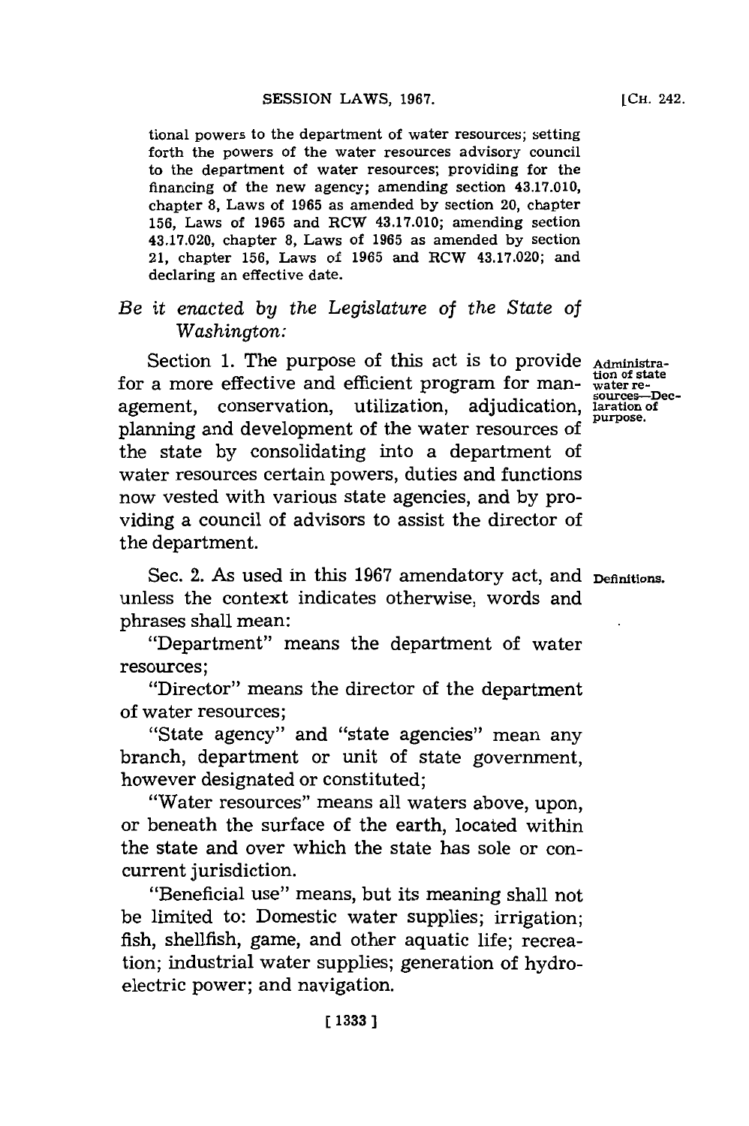tional powers to the department of water resources; setting forth the powers of the water resources advisory council to the department of water resources; providing for the financing of the new agency; amending section 43.17.010, chapter **8,** Laws of **1965** as amended **by** section 20, chapter **156,** Laws of **1965** and RCW 43.17.010; amending section 43.17.020, chapter **8,** Laws of **1965** as amended **by** section 21, chapter **156,** Laws of **1965** and RCW 43.17.020; and declaring an effective date.

## *Be it enacted by the Legislature of the State of Washington:*

Section 1. The purpose of this act is to provide Administrafor a more effective and efficient program for man- water reagement, conservation, utilization, adjudication, laration of planning and development of the water resources of purpose. the state **by** consolidating into a department of water resources certain powers, duties and functions now vested with various state agencies, and **by** providing a council of advisors to assist the director of the department.

Sec. 2. As used in this 1967 amendatory act, and <sub>Definitions.</sub> unless the context indicates otherwise, words and phrases shall mean:

"Department" means the department of water resources;

"Director" means the director of the department of water resources;

"State agency" and "state agencies" mean any branch, department or unit of state government, however designated or constituted;

"Water resources" means all waters above, upon, or beneath the surface of the earth, located within the state and over which the state has sole or concurrent jurisdiction.

"Beneficial use" means, but its meaning shall not be limited to: Domestic water supplies; irrigation; fish, shellfish, game, and other aquatic life; recreation; industrial water supplies; generation of hydroelectric power; and navigation.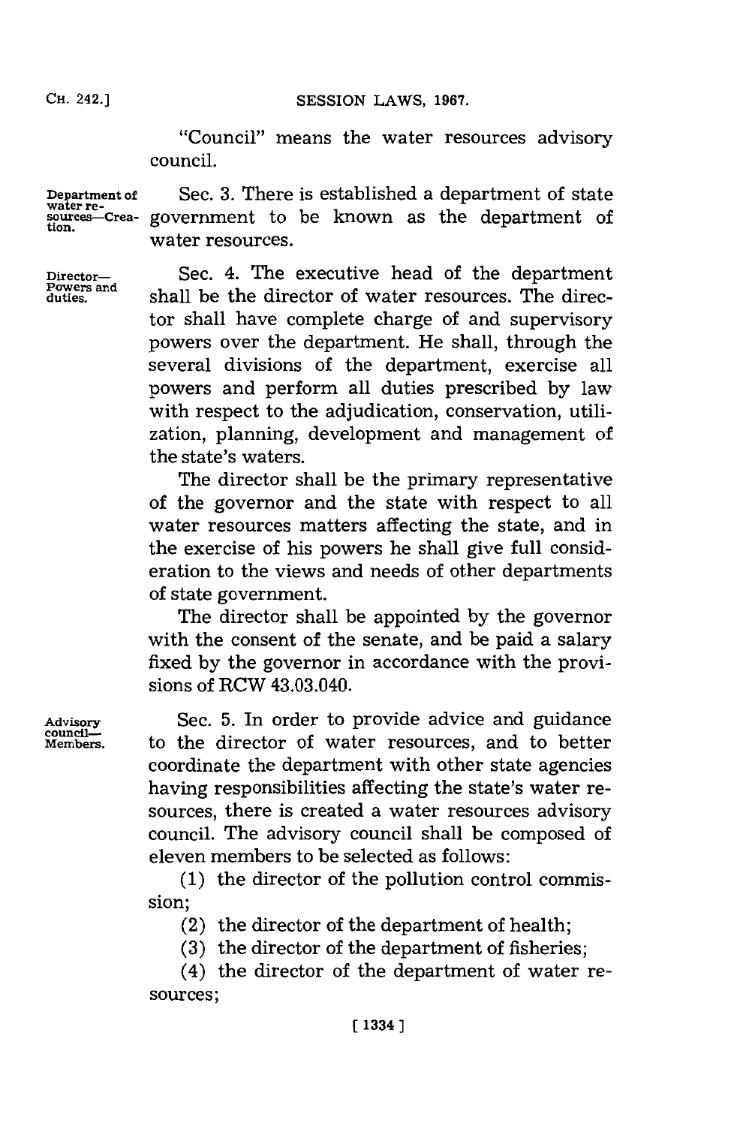**CH.** 242.]

**CH. 42.]SESSION LAWS, 1967.**

"Council" means the water resources advisory council.

**Department of** Sec. 3. There is established a department of state re-<br>water re-<br>sources—Crea- government to be known as the department of **water re- sources--Crea-** government to be known as the department of water resources.

**Director-** Sec. 4. The executive head of the department **duties,** shall be the director of water resources. The director shall have complete charge of and supervisory powers over the department. He shall, through the several divisions of the department, exercise all powers and perform all duties prescribed **by** law with respect to the adjudication, conservation, utilization, planning, development and management of the state's waters.

> The director shall be the primary representative of the governor and the state with respect to all water resources matters affecting the state, and in the exercise of his powers he shall give full consideration to the views and needs of other departments of state govermnent.

> The director shall be appointed **by** the governor with the consent of the senate, and be paid a salary fixed **by** the governor in accordance with the provisions of RCW 43.03.040.

Advisory **Sec. 5.** In order to provide advice and guidance council—<br> **Members.** to the director of water resources, and to better to the director of water resources, and to better coordinate the department with other state agencies having responsibilities affecting the state's water resources, there is created a water resources advisory council. The advisory council shall be composed of eleven members to be selected as follows:

> **(1)** the director of the pollution control commission;

(2) the director of the department of health;

**(3)** the director of the department of fisheries;

(4) the director of the department of water resources;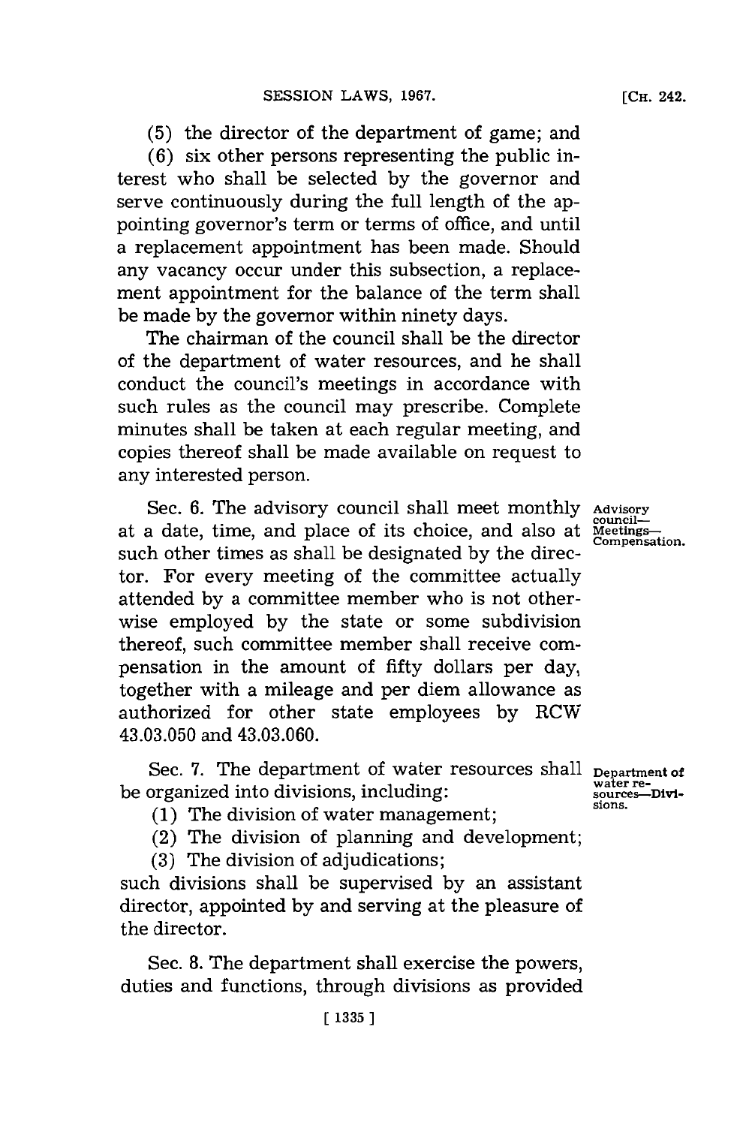**(5)** the director of the department of game; and

**(6)** six other persons representing the public interest who shall be selected **by** the governor and serve continuously during the full length of the appointing governor's term or terms of office, and until a replacement appointment has been made. Should any vacancy occur under this subsection, a replacement appointment for the balance of the term shall be made **by** the governor within ninety days.

The chairman of the council shall be the director of the department of water resources, and he shall conduct the council's meetings in accordance with such rules as the council may prescribe. Complete minutes shall be taken at each regular meeting, and copies thereof shall be made available on request to any interested person.

Sec. 6. The advisory council shall meet monthly Advisory at a date, time, and place of its choice, and also at  $\frac{\text{countil}}{\text{Comء}}$ such other times as shall be designated **by** the director. For every meeting of the committee actually attended **by** a committee member who is not otherwise employed **by** the state or some subdivision thereof, such committee member shall receive compensation in the amount of fifty dollars per day, together with a mileage and per diem allowance as authorized for other state employees **by** RCW 43.03.050 and 43.03.060.

Sec. 7. The department of water resources shall <sub>Department of</sub> be organized into divisions, including:

**(1)** The division of water management;

(2) The division of planning and development;

**(3)** The division of adjudications;

such divisions shall be supervised **by** an assistant director, appointed **by** and serving at the pleasure of the director.

Sec. **8.** The department shall exercise the powers, duties and functions, through divisions as provided

**water re- sources-Divisions.**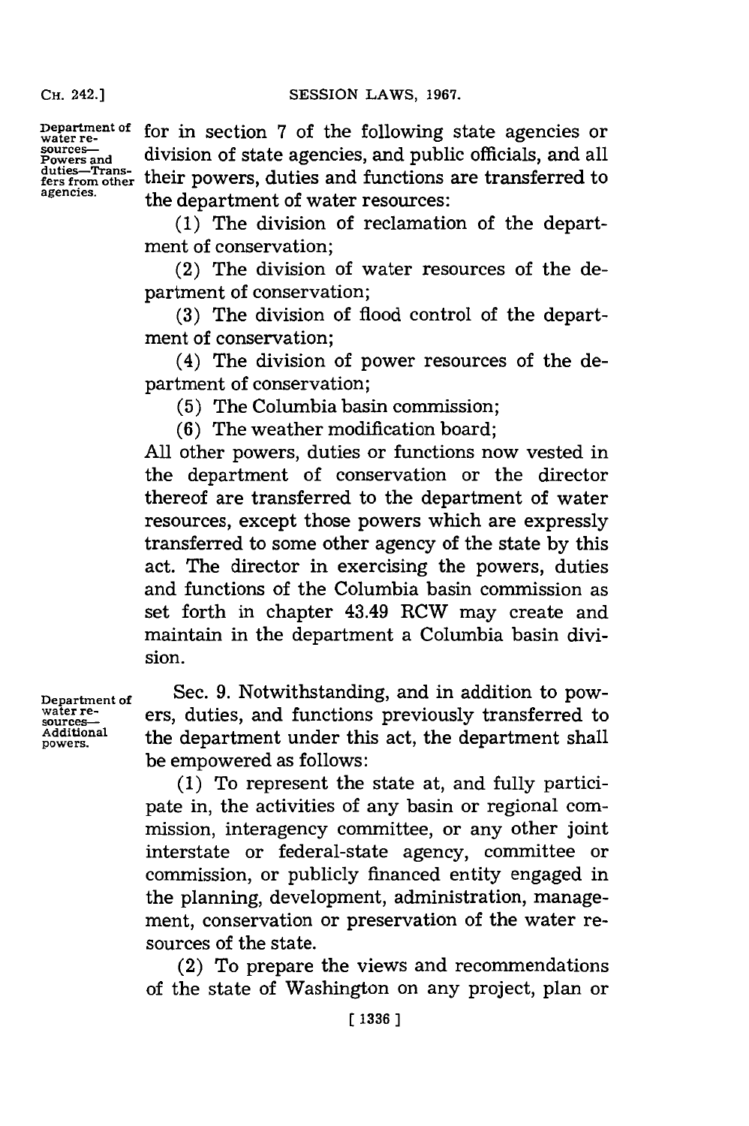**CH.** 242.]

**water resources-**

**agencies.**

**Department of Powers and duties-Trans-fers from other** their powers, duties and functions are transferred to for in section **7** of the following state agencies or division of state agencies, and public officials, and all the department of water resources:

> **(1)** The division of reclamation of the department of conservation;

> (2) The division of water resources of the department of conservation;

> **(3)** The division of flood control of the department of conservation;

> (4) The division of power resources of the department of conservation;

(5) The Columbia basin commission;

**(6)** The weather modification board;

**All** other powers, duties or functions now vested in the department of conservation or the director thereof are transferred to the department of water resources, except those powers which are expressly transferred to some other agency of the state **by** this act. The director in exercising the powers, duties and functions of the Columbia basin commission as set forth in chapter 43.49 RCW may create and maintain in the department a Columbia basin division.

**Department of water re- sources-Additional powers.**

Sec. **9.** Notwithstanding, and in addition to powers, duties, and functions previously transferred to the department under this act, the department shall be empowered as follows:

**(1)** To represent the state at, and fully participate in, the activities of any basin or regional commission, interagency committee, or any other joint interstate or federal-state agency, committee or commission, or publicly financed entity engaged in the planning, development, administration, management, conservation or preservation of the water resources of the state.

(2) To prepare the views and recommendations of the state of Washington on any project, plan or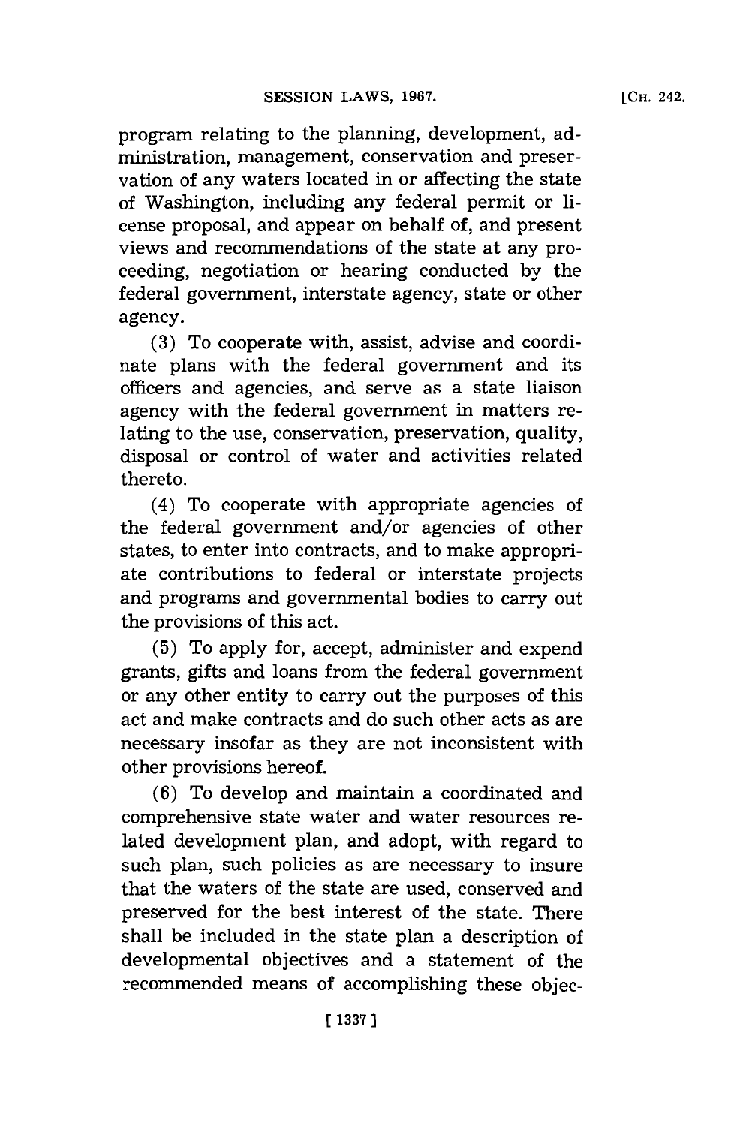program relating to the planning, development, administration, management, conservation and preservation of any waters located in or affecting the state of Washington, including any federal permit or license proposal, and appear on behalf of, and present views and recommendations of the state at any proceeding, negotiation or hearing conducted **by** the federal government, interstate agency, state or other agency.

**(3)** To cooperate with, assist, advise and coordinate plans with the federal govermnent and its officers and agencies, and serve as a state liaison agency with the federal government in matters relating to the use, conservation, preservation, quality, disposal or control of water and activities related thereto.

(4) To cooperate with appropriate agencies of the federal government and/or agencies of other states, to enter into contracts, and to make appropriate contributions to federal or interstate projects and programs and governmental bodies to carry out the provisions of this act.

**(5)** To apply for, accept, administer and expend grants, gifts and loans from the federal government or any other entity to carry out the purposes of this act and make contracts and do such other acts as are necessary insofar as they are not inconsistent with other provisions hereof.

**(6)** To develop and maintain a coordinated and comprehensive state water and water resources related development plan, and adopt, with regard to such plan, such policies as are necessary to insure that the waters of the state are used, conserved and preserved for the best interest of the state. There shall be included in the state plan a description of developmental objectives and a statement of the recommended means of accomplishing these objec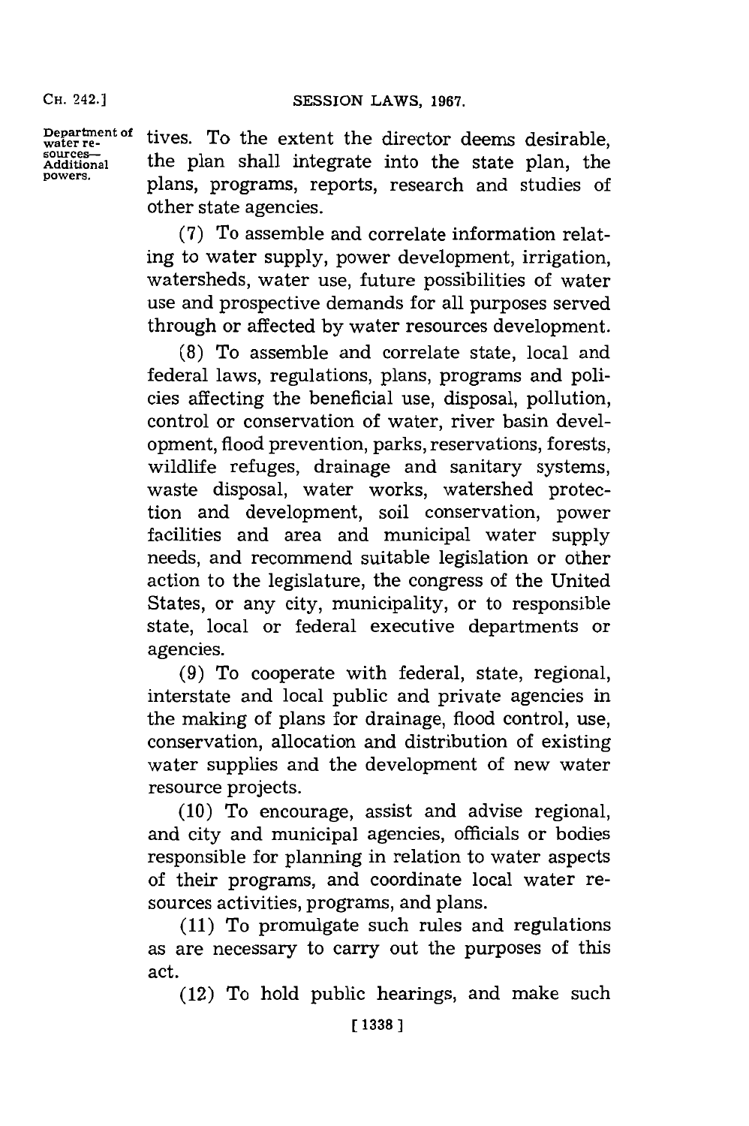**CH.** 242.]

**Department of**<br> **water re-**<br> **sources— Additional powers.**

tives. To the extent the director deems desirable, the plan shall integrate into the state plan, the plans, programs, reports, research and studies of other state agencies.

**(7)** To assemble and correlate information relating to water supply, power development, irrigation, watersheds, water use, future possibilities of water use and prospective demands for all purposes served through or affected **by** water resources development.

**(8)** To assemble and correlate state, local and federal laws, regulations, plans, programs and policies affecting the beneficial use, disposal, pollution, control or conservation of water, river basin development, flood prevention, parks, reservations, forests, wildlife refuges, drainage and sanitary systems, waste disposal, water works, watershed protection and development, soil conservation, power facilities and area and municipal water supply needs, and recommend suitable legislation or other action to the legislature, the congress of the United States, or any city, municipality, or to responsible state, local or federal executive departments or agencies.

**(9)** To cooperate with federal, state, regional, interstate and local public and private agencies in the making of plans for drainage, flood control, use, conservation, allocation and distribution of existing water supplies and the development of new water resource projects.

**(10)** To encourage, assist and advise regional, and city and municipal agencies, officials or bodies responsible for planning in relation to water aspects of their programs, and coordinate local water resources activities, programs, and plans.

**(11)** To promulgate such rules and regulations as are necessary to carry out the purposes of this act.

(12) To hold public hearings, and make such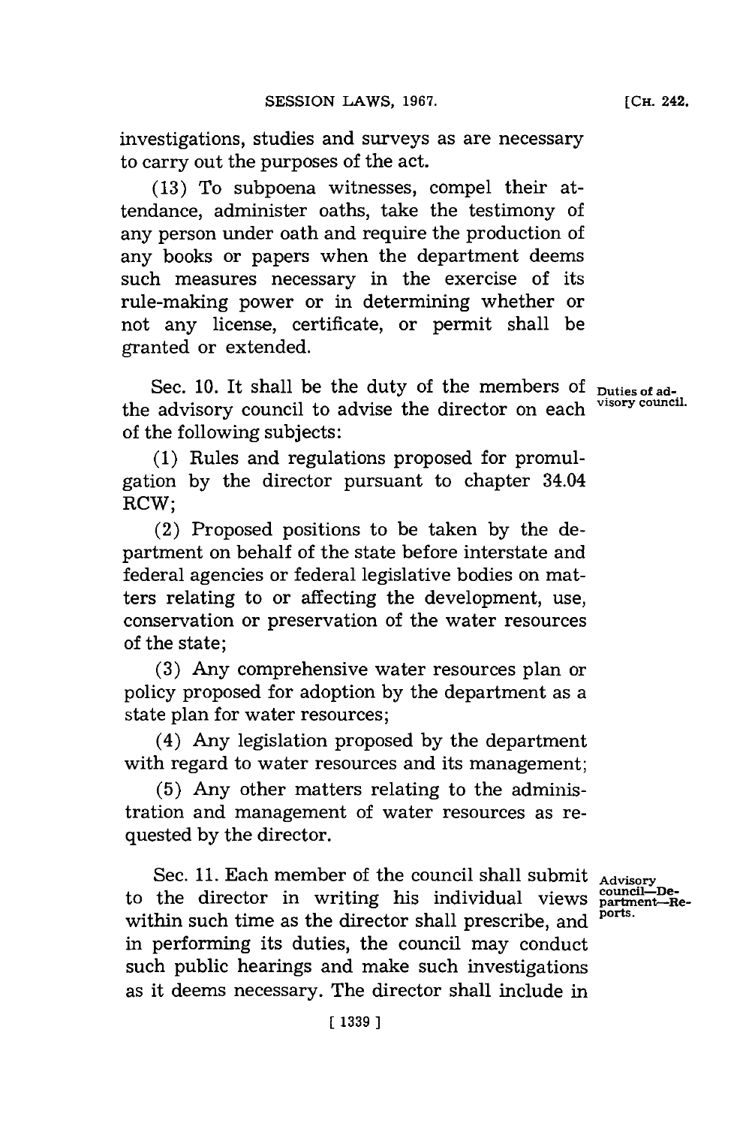investigations, studies and surveys as are necessary to carry out the purposes of the act.

**(13)** To subpoena witnesses, compel their attendance, administer oaths, take the testimony of any person under oath and require the production of any books or papers when the department deems such measures necessary in the exercise of its rule-making power or in determining whether or not any license, certificate, or permit shall be granted or extended.

Sec. 10. It shall be the duty of the members of puties of adthe advisory council to advise the director on each of the following subjects:

**(1)** Rules and regulations proposed for promulgation **by** the director pursuant to chapter 34.04 RCW;

(2) Proposed positions to be taken **by** the department on behalf of the state before interstate and federal agencies or federal legislative bodies on matters relating to or affecting the development, use, conservation or preservation of the water resources of the state;

**(3)** Any comprehensive water resources plan or policy proposed for adoption **by** the department as a state plan for water resources;

(4) Any legislation proposed **by** the department with regard to water resources and its management;

**(5)** Any other matters relating to the administration and management of water resources as requested **by** the director.

Sec. **11.** Each member of the council shall submit Sec. 11. Each member of the council shall submit  $_{\text{Advisory}}$ <br>to the director in writing his individual views  $_{\text{partment--Re-}}^{\text{count-in--Dec}}$ within such time as the director shall prescribe, and in performing its duties, the council may conduct such public hearings and make such investigations as it deems necessary. The director shall include in

**ports.**

**visory council.**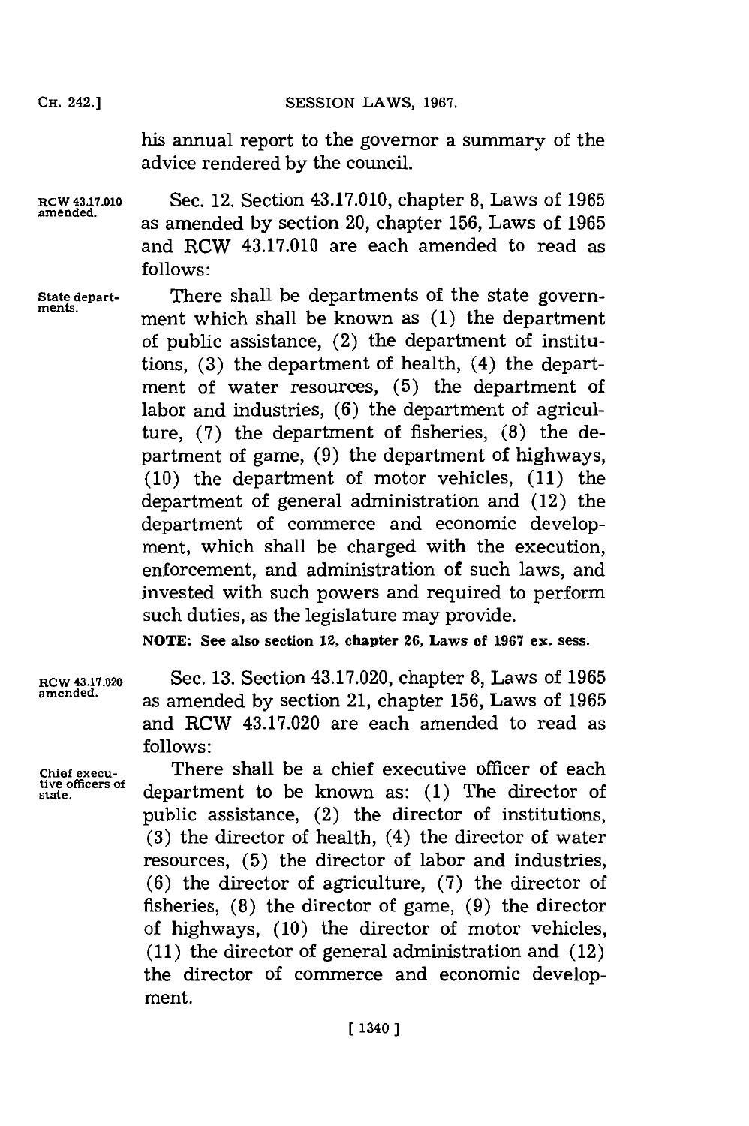## SESSION LAWS, 1967.

his annual report to the governor a summary of the advice rendered **by** the council.

**RCW 43.17.010** Sec. 12. Section 43.17.010, chapter **8,** Laws of **1965** amened. as amended **by** section 20, chapter **156,** Laws of **<sup>1965</sup>** and RCW 43.17.010 are each amended to read as **follows:**

**State depart-** There shall be departments of the state government which shall be known as (1) the department of public assistance, (2) the department of institutions, **(3)** the department of health, (4) the department of water resources, **(5)** the department of labor and industries, **(6)** the department of agriculture, **(7)** the department of fisheries, **(8)** the department of game, **(9)** the department of highways, **(10)** the department of motor vehicles, **(11)** the department of general administration and (12) the department of commerce and economic development, which shall be charged with the execution, enforcement, and administration of such laws, and invested with such powers and required to perform such duties, as the legislature may provide.

**NOTE: See also section 12, chapter 26, Laws of 1967 ex. sess.**

**RCW 43.17.020** Sec. **13.** Section 43.17.020, chapter **8,** Laws of **1965** amened. as amended **by** section 21, chapter **156,** Laws of **<sup>1965</sup>** and RCW 43.17.020 are each amended to read as **follows:**

Chief execu-<br>tive officers of dependencent to be lengthene as (1). The dinaston of tive officers of department to be known as: (1) The director of public assistance, (2) the director of institutions, **(3)** the director of health, (4) the director of water resources, **(5)** the director of labor and industries, **(6)** the director of agriculture, **(7)** the director of fisheries, **(8)** the director of game, **(9)** the director of highways, **(10)** the director of motor vehicles, **(11)** the director of general administration and (12) the director of commerce and economic development.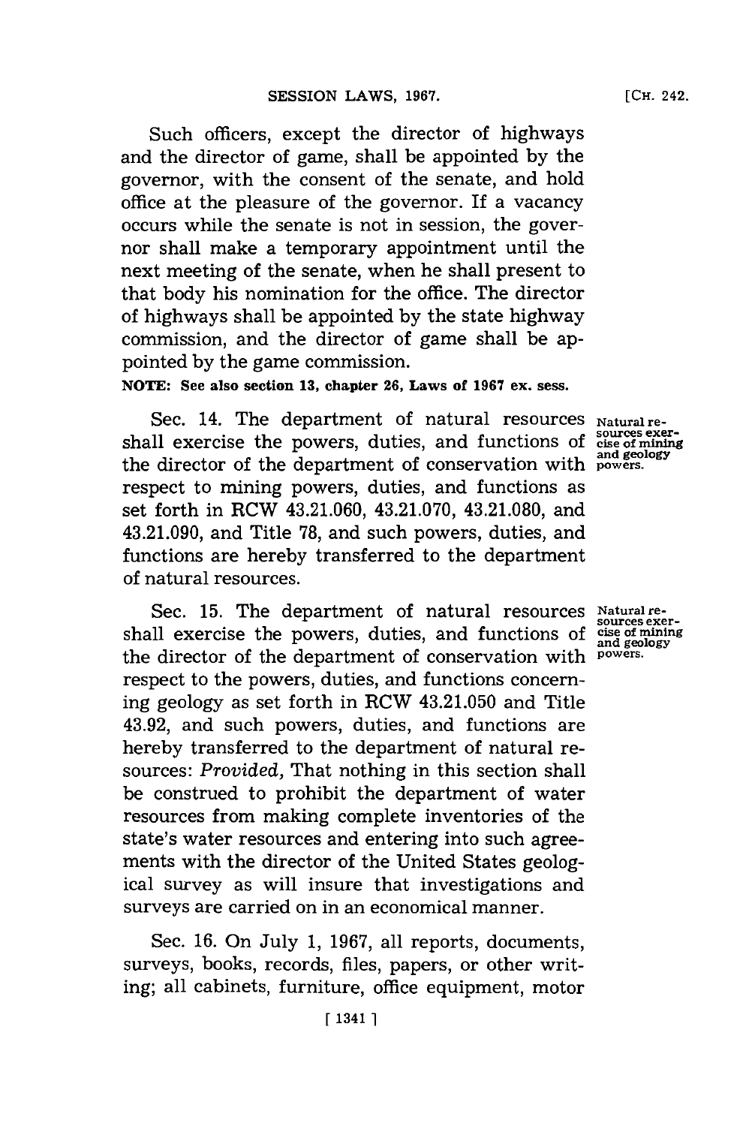Such officers, except the director of highways and the director of game, shall be appointed **by** the governor, with the consent of the senate, and hold office at the pleasure of the governor. If a vacancy occurs while the senate is not in session, the governor shall make a temporary appointment until the next meeting of the senate, when he shall present to that body his nomination for the office. The director of highways shall be appointed **by** the state highway commission, and the director of game shall be appointed **by** the game commission.

**NOTE: See also section 13, chapter 26, Laws of 1967 ex. sess.**

Sec. 14. The department of natural resources Natural reshall exercise the powers, duties, and functions of cise of mining the director of the department of conservation with  $\frac{d}{dp}$ respect to mining powers, duties, and functions as set forth in RCW 43.21.060, 43.21.070, 43.21.080, and 43.21.090, and Title **78,** and such powers, duties, and functions are hereby transferred to the department of natural resources.

Sec. 15. The department of natural resources Natural resources exer-<br>shall exercise the powers, duties, and functions of cise of mining<br>geology the director of the department of conservation with powers. respect to the powers, duties, and functions concerning geology as set forth in RCW 43.21.050 and Title 43.92, and such powers, duties, and functions are hereby transferred to the department of natural resources: *Provided,* That nothing in this section shall be construed to prohibit the department of water resources from making complete inventories of the state's water resources and entering into such agreements with the director of the United States geological survey as will insure that investigations and surveys are carried on in an economical manner.

Sec. **16.** On July **1, 1967,** all reports, documents, surveys, books, records, files, papers, or other writing; all cabinets, furniture, office equipment, motor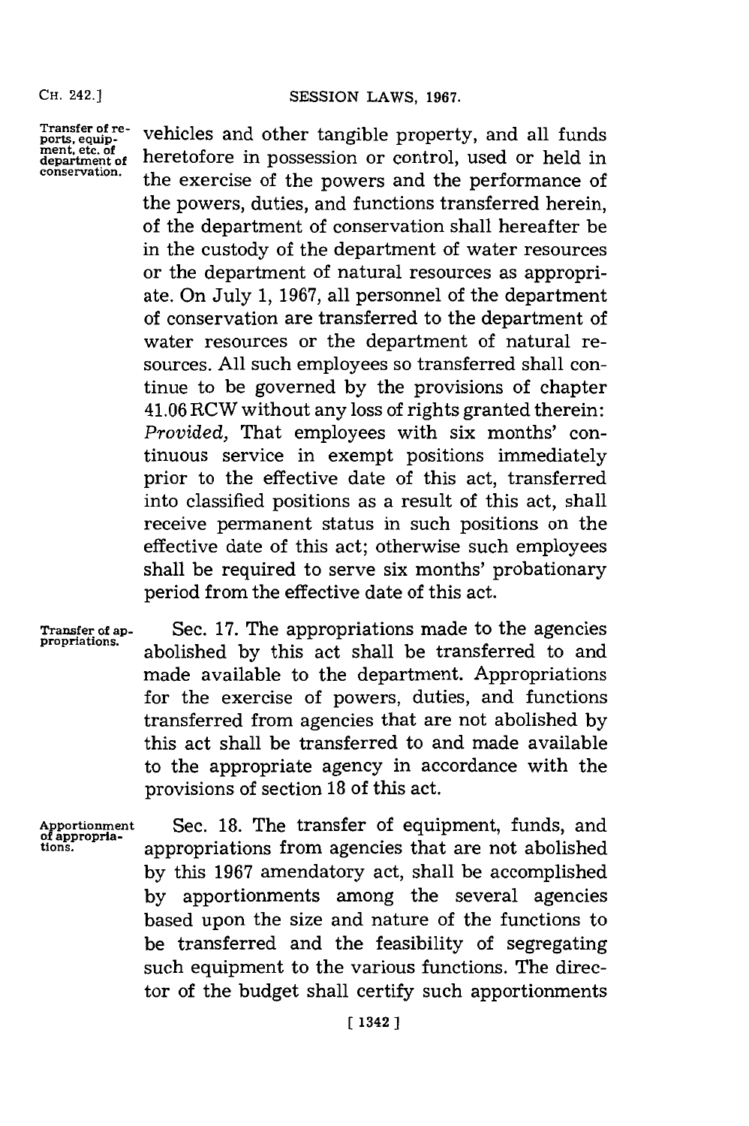Transfer of re- ports, equip- ment. etc. of department of conservation.

vehicles and other tangible property, and all funds heretofore in possession or control, used or held in the exercise of the powers and the performance of the powers, duties, and functions transferred herein, of the department of conservation shall hereafter be in the custody of the department of water resources or the department of natural resources as appropriate. On July **1, 1967,** all personnel of the department of conservation are transferred to the department of water resources or the department of natural resources. **All** such employees so transferred shall continue to be governed **by** the provisions of chapter 41.06 RCW without any loss of rights granted therein: *Provided,* That employees with six months' continuous service in exempt positions immediately prior to the effective date of this act, transferred into classified positions as a result of this act, shall receive permanent status in such positions on the effective date of this act; otherwise such employees shall be required to serve six months' probationary period from the effective date of this act.

Transfer **of ap- propriations.**

Sec. **17.** The appropriations made to the agencies abolished **by** this act shall be transferred to and made available to the department. Appropriations for the exercise of powers, duties, and functions transferred from agencies that are not abolished **by** this act shall be transferred to and made available to the appropriate agency in accordance with the provisions of section **18** of this act.

**Apportionment of appropria- tions.**

Sec. **18.** The transfer of equipment, funds, and appropriations from agencies that are not abolished **by** this **1967** amendatory act, shall be accomplished **by** apportionments among the several agencies based upon the size and nature of the functions to be transferred and the feasibility of segregating such equipment to the various functions. The director of the budget shall certify such apportionments